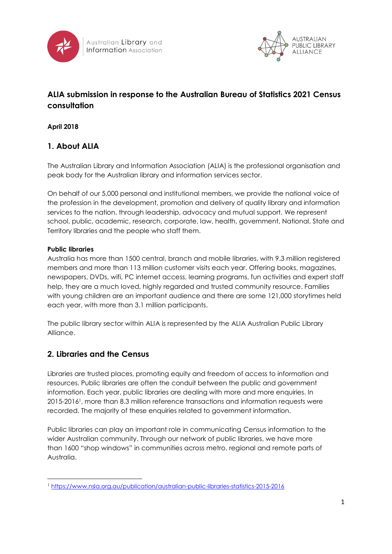



# **ALIA submission in response to the Australian Bureau of Statistics 2021 Census consultation**

**April 2018**

## **1. About ALIA**

The Australian Library and Information Association (ALIA) is the professional organisation and peak body for the Australian library and information services sector.

On behalf of our 5,000 personal and institutional members, we provide the national voice of the profession in the development, promotion and delivery of quality library and information services to the nation, through leadership, advocacy and mutual support. We represent school, public, academic, research, corporate, law, health, government, National, State and Territory libraries and the people who staff them.

#### **Public libraries**

1

Australia has more than 1500 central, branch and mobile libraries, with 9.3 million registered members and more than 113 million customer visits each year. Offering books, magazines, newspapers, DVDs, wifi, PC internet access, learning programs, fun activities and expert staff help, they are a much loved, highly regarded and trusted community resource. Families with young children are an important audience and there are some 121,000 storytimes held each year, with more than 3.1 million participants.

The public library sector within ALIA is represented by the ALIA Australian Public Library Alliance.

## **2. Libraries and the Census**

Libraries are trusted places, promoting equity and freedom of access to information and resources. Public libraries are often the conduit between the public and government information. Each year, public libraries are dealing with more and more enquiries. In 2015-20161, more than 8.3 million reference transactions and information requests were recorded. The majority of these enquiries related to government information.

Public libraries can play an important role in communicating Census information to the wider Australian community. Through our network of public libraries, we have more than 1600 "shop windows" in communities across metro, regional and remote parts of Australia.

<sup>1</sup> <https://www.nsla.org.au/publication/australian-public-libraries-statistics-2015-2016>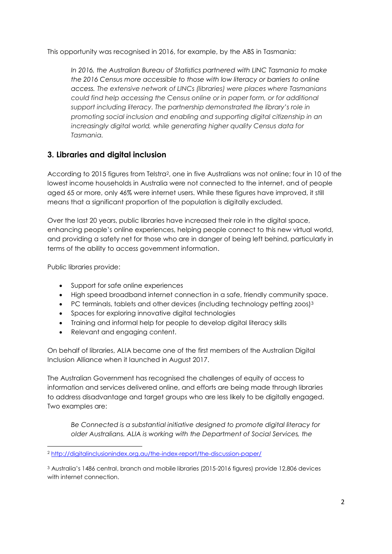This opportunity was recognised in 2016, for example, by the ABS in Tasmania:

*In 2016, the Australian Bureau of Statistics partnered with LINC Tasmania to make the 2016 Census more accessible to those with low literacy or barriers to online access. The extensive network of LINCs (libraries) were places where Tasmanians could find help accessing the Census online or in paper form, or for additional support including literacy. The partnership demonstrated the library's role in promoting social inclusion and enabling and supporting digital citizenship in an increasingly digital world, while generating higher quality Census data for Tasmania.*

## **3. Libraries and digital inclusion**

According to 2015 figures from Telstra2, one in five Australians was not online; four in 10 of the lowest income households in Australia were not connected to the internet, and of people aged 65 or more, only 46% were internet users. While these figures have improved, it still means that a significant proportion of the population is digitally excluded.

Over the last 20 years, public libraries have increased their role in the digital space, enhancing people's online experiences, helping people connect to this new virtual world, and providing a safety net for those who are in danger of being left behind, particularly in terms of the ability to access government information.

Public libraries provide:

1

- Support for safe online experiences
- High speed broadband internet connection in a safe, friendly community space.
- PC terminals, tablets and other devices (including technology petting zoos)<sup>3</sup>
- Spaces for exploring innovative digital technologies
- Training and informal help for people to develop digital literacy skills
- Relevant and engaging content.

On behalf of libraries, ALIA became one of the first members of the Australian Digital Inclusion Alliance when it launched in August 2017.

The Australian Government has recognised the challenges of equity of access to information and services delivered online, and efforts are being made through libraries to address disadvantage and target groups who are less likely to be digitally engaged. Two examples are:

*Be Connected is a substantial initiative designed to promote digital literacy for older Australians. ALIA is working with the Department of Social Services, the* 

<sup>2</sup> <http://digitalinclusionindex.org.au/the-index-report/the-discussion-paper/>

<sup>3</sup> Australia's 1486 central, branch and mobile libraries (2015-2016 figures) provide 12,806 devices with internet connection.